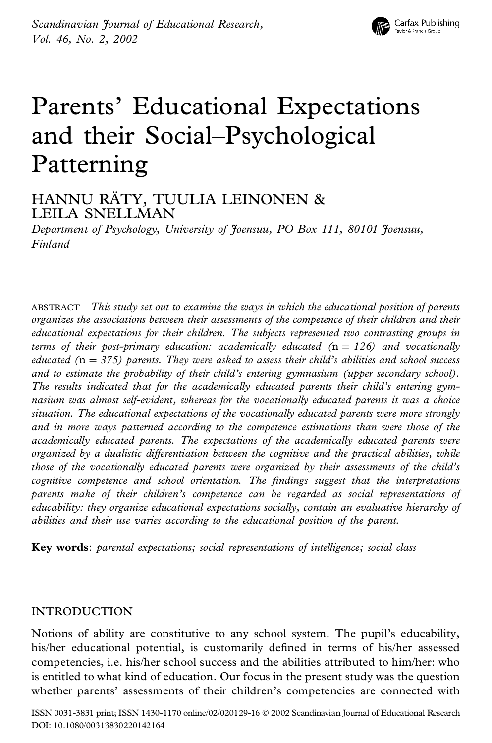# Parents' Educational Expectations and their Social–Psychological Patterning

## HANNU RÄTY, TUULIA LEINONEN & LEILA SNELLMAN

*Department of Psychology, University of Joensuu, PO Box 111, 80101 Joensuu, Finland*

ABSTRACT *This study set out to examine the ways in which the educational position of parents organizes the associations between their assessments of the competence of their children and their educational expectations for their children. The subjects represented two contrasting groups in terms* of their post-primary education: academically educated  $(n = 126)$  and vocationally *educated (*n 5 *375) parents. They were asked to assess their child's abilities and school success and to estimate the probability of their child's entering gymnasium (upper secondary school). The results indicated that for the academically educated parents their child's entering gym nasium was almost self-evident, whereas for the vocationally educated parents it was a choice situation. The educational expectations of the vocationally educated parents were more strongly and in more ways patterned according to the competence estimations than were those of the academically educated parents. The expectations of the academically educated parents were organized by a dualistic differentiation between the cognitive and the practical abilities, while those of the vocationally educated parents were organized by their assessments of the child's cognitive competence and school orientation. The ndings suggest that the interpretations parents make of their children's competence can be regarded as social representations of educability: they organize educational expectations socially, contain an evaluative hierarchy of abilities and their use varies according to the educational position of the parent.*

**Key words**: *parental expectations; social representations of intelligence; social class*

## INTRODUCTION

Notions of ability are constitutive to any school system. The pupil's educability, his/her educational potential, is customarily defined in terms of his/her assessed competencies, i.e. his/her school success and the abilities attributed to him/her: who is entitled to what kind of education. Our focus in the present study was the question whether parents' assessments of their children's competencies are connected with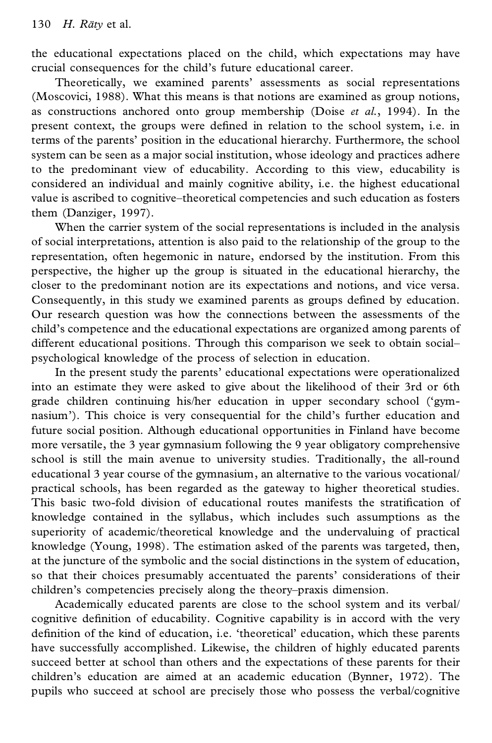the educational expectations placed on the child, which expectations may have crucial consequences for the child's future educational career.

Theoretically, we examined parents' assessments as social representations (Moscovici, 1988). What this means is that notions are examined as group notions, as constructions anchored onto group membership (Doise *et al.*, 1994). In the present context, the groups were defined in relation to the school system, i.e. in terms of the parents' position in the educational hierarchy. Furthermore, the school system can be seen as a major social institution, whose ideology and practices adhere to the predominant view of educability. According to this view, educability is considered an individual and mainly cognitive ability, i.e. the highest educational value is ascribed to cognitive–theoretical competencies and such education as fosters them (Danziger, 1997).

When the carrier system of the social representations is included in the analysis of social interpretations, attention is also paid to the relationship of the group to the representation, often hegemonic in nature, endorsed by the institution. From this perspective, the higher up the group is situated in the educational hierarchy, the closer to the predominant notion are its expectations and notions, and vice versa. Consequently, in this study we examined parents as groups defined by education. Our research question was how the connections between the assessments of the child's competence and the educational expectations are organized among parents of different educational positions. Through this comparison we seek to obtain social– psychological knowledge of the process of selection in education.

In the present study the parents' educational expectations were operationalized into an estimate they were asked to give about the likelihood of their 3rd or 6th grade children continuing his/her education in upper secondary school ('gym nasium'). This choice is very consequential for the child's further education and future social position. Although educational opportunities in Finland have become more versatile, the 3 year gymnasium following the 9 year obligatory comprehensive school is still the main avenue to university studies. Traditionally, the all-round educational 3 year course of the gymnasium, an alternative to the various vocational/ practical schools, has been regarded as the gateway to higher theoretical studies. This basic two-fold division of educational routes manifests the stratification of knowledge contained in the syllabus, which includes such assumptions as the superiority of academic/theoretical knowledge and the undervaluing of practical knowledge (Young, 1998). The estimation asked of the parents was targeted, then, at the juncture of the symbolic and the social distinctions in the system of education, so that their choices presumably accentuated the parents' considerations of their children's competencies precisely along the theory–praxis dimension.

Academically educated parents are close to the school system and its verbal/ cognitive definition of educability. Cognitive capability is in accord with the very definition of the kind of education, i.e. 'theoretical' education, which these parents have successfully accomplished. Likewise, the children of highly educated parents succeed better at school than others and the expectations of these parents for their children's education are aimed at an academic education (Bynner, 1972). The pupils who succeed at school are precisely those who possess the verbal/cognitive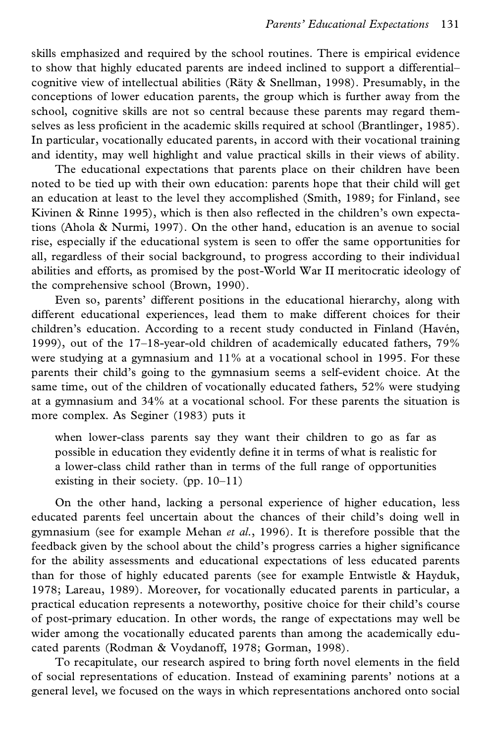skills emphasized and required by the school routines. There is empirical evidence to show that highly educated parents are indeed inclined to support a differential– cognitive view of intellectual abilities (Räty  $\&$  Snellman, 1998). Presumably, in the conceptions of lower education parents, the group which is further away from the school, cognitive skills are not so central because these parents may regard themselves as less proficient in the academic skills required at school (Brantlinger, 1985). In particular, vocationally educated parents, in accord with their vocational training and identity, may well highlight and value practical skills in their views of ability.

The educational expectations that parents place on their children have been noted to be tied up with their own education: parents hope that their child will get an education at least to the level they accomplished (Smith, 1989; for Finland, see Kivinen & Rinne 1995), which is then also reflected in the children's own expectations (Ahola & Nurmi, 1997). On the other hand, education is an avenue to social rise, especially if the educational system is seen to offer the same opportunities for all, regardless of their social background, to progress according to their individual abilities and efforts, as promised by the post-World War II meritocratic ideology of the comprehensive school (Brown, 1990).

Even so, parents' different positions in the educational hierarchy, along with different educational experiences, lead them to make different choices for their children's education. According to a recent study conducted in Finland (Havén, 1999), out of the 17–18-year-old children of academically educated fathers, 79% were studying at a gymnasium and  $11\%$  at a vocational school in 1995. For these parents their child's going to the gymnasium seems a self-evident choice. At the same time, out of the children of vocationally educated fathers, 52% were studying at a gymnasium and 34% at a vocational school. For these parents the situation is more complex. As Seginer (1983) puts it

when lower-class parents say they want their children to go as far as possible in education they evidently define it in terms of what is realistic for a lower-class child rather than in terms of the full range of opportunities existing in their society. (pp. 10–11)

On the other hand, lacking a personal experience of higher education, less educated parents feel uncertain about the chances of their child's doing well in gymnasium (see for example Mehan *et al.*, 1996). It is therefore possible that the feedback given by the school about the child's progress carries a higher significance for the ability assessments and educational expectations of less educated parents than for those of highly educated parents (see for example Entwistle & Hayduk, 1978; Lareau, 1989). Moreover, for vocationally educated parents in particular, a practical education represents a noteworthy, positive choice for their child's course of post-primary education. In other words, the range of expectations may well be wider among the vocationally educated parents than among the academically edu cated parents (Rodman & Voydanoff, 1978; Gorman, 1998).

To recapitulate, our research aspired to bring forth novel elements in the field of social representations of education. Instead of examining parents' notions at a general level, we focused on the ways in which representations anchored onto social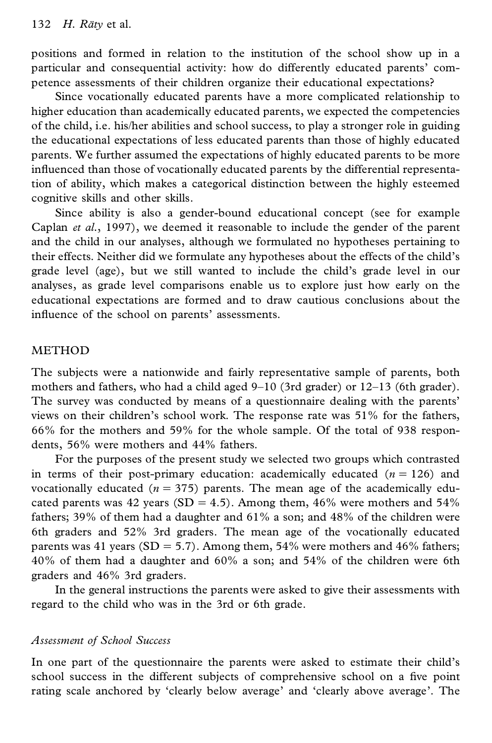positions and formed in relation to the institution of the school show up in a particular and consequential activity: how do differently educated parents' com petence assessments of their children organize their educational expectations?

Since vocationally educated parents have a more complicated relationship to higher education than academically educated parents, we expected the competencies of the child, i.e. his/her abilities and school success, to play a stronger role in guiding the educational expectations of less educated parents than those of highly educated parents. We further assumed the expectations of highly educated parents to be more in fluenced than those of vocationally educated parents by the differential representation of ability, which makes a categorical distinction between the highly esteemed cognitive skills and other skills.

Since ability is also a gender-bound educational concept (see for example Caplan *et al.*, 1997), we deemed it reasonable to include the gender of the parent and the child in our analyses, although we formulated no hypotheses pertaining to their effects. Neither did we formulate any hypotheses about the effects of the child's grade level (age), but we still wanted to include the child's grade level in our analyses, as grade level comparisons enable us to explore just how early on the educational expectations are formed and to draw cautious conclusions about the influence of the school on parents' assessments.

## METHOD

The subjects were a nationwide and fairly representative sample of parents, both mothers and fathers, who had a child aged  $9-10$  (3rd grader) or  $12-13$  (6th grader). The survey was conducted by means of a questionnaire dealing with the parents' views on their children's school work. The response rate was 51% for the fathers, 66% for the mothers and 59% for the whole sample. Of the total of 938 respondents, 56% were mothers and 44% fathers.

For the purposes of the present study we selected two groups which contrasted in terms of their post-primary education: academically educated  $(n = 126)$  and vocationally educated ( $n = 375$ ) parents. The mean age of the academically educated parents was 42 years (SD = 4.5). Among them, 46% were mothers and 54% fathers; 39% of them had a daughter and 61% a son; and 48% of the children were 6th graders and 52% 3rd graders. The mean age of the vocationally educated parents was 41 years (SD = 5.7). Among them, 54% were mothers and 46% fathers; 40% of them had a daughter and 60% a son; and 54% of the children were 6th graders and 46% 3rd graders.

In the general instructions the parents were asked to give their assessments with regard to the child who was in the 3rd or 6th grade.

## *Assessment of School Success*

In one part of the questionnaire the parents were asked to estimate their child's school success in the different subjects of comprehensive school on a five point rating scale anchored by 'clearly below average' and 'clearly above average'. The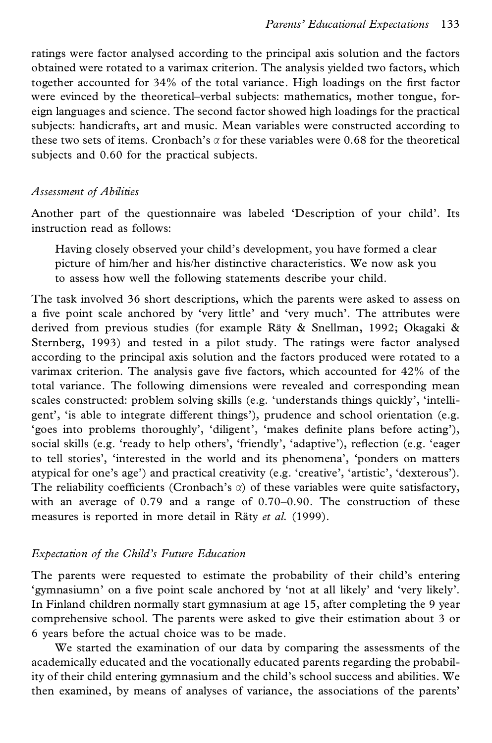ratings were factor analysed according to the principal axis solution and the factors obtained were rotated to a varimax criterion. The analysis yielded two factors, which together accounted for 34% of the total variance. High loadings on the first factor were evinced by the theoretical–verbal subjects: mathematics, mother tongue, for eign languages and science. The second factor showed high loadings for the practical subjects: handicrafts, art and music. Mean variables were constructed according to these two sets of items. Cronbach's  $\alpha$  for these variables were 0.68 for the theoretical subjects and 0.60 for the practical subjects.

## *Assessment of Abilities*

Another part of the questionnaire was labeled 'Description of your child'. Its instruction read as follows:

Having closely observed your child's development, you have formed a clear picture of him/her and his/her distinctive characteristics. We now ask you to assess how well the following statements describe your child.

The task involved 36 short descriptions, which the parents were asked to assess on a five point scale anchored by 'very little' and 'very much'. The attributes were derived from previous studies (for example Räty & Snellman, 1992; Okagaki & Sternberg, 1993) and tested in a pilot study. The ratings were factor analysed according to the principal axis solution and the factors produced were rotated to a varimax criterion. The analysis gave five factors, which accounted for  $42\%$  of the total variance. The following dimensions were revealed and corresponding mean scales constructed: problem solving skills (e.g. 'understands things quickly', 'intelli gent', 'is able to integrate different things'), prudence and school orientation (e.g. 'goes into problems thoroughly', 'diligent', 'makes definite plans before acting'), social skills (e.g. 'ready to help others', 'friendly', 'adaptive'), reflection (e.g. 'eager to tell stories', 'interested in the world and its phenomena', 'ponders on matters atypical for one's age') and practical creativity (e.g. 'creative', 'artistic', 'dexterous'). The reliability coefficients (Cronbach's  $\alpha$ ) of these variables were quite satisfactory, with an average of 0.79 and a range of 0.70–0.90. The construction of these measures is reported in more detail in Räty *et al.* (1999).

#### *Expectation of the Child's Future Education*

The parents were requested to estimate the probability of their child's entering 'gymnasiumn' on a five point scale anchored by 'not at all likely' and 'very likely'. In Finland children normally start gymnasium at age 15, after completing the 9 year comprehensive school. The parents were asked to give their estimation about 3 or 6 years before the actual choice was to be made.

We started the examination of our data by comparing the assessments of the academically educated and the vocationally educated parents regarding the probability of their child entering gymnasium and the child's school success and abilities. We then examined, by means of analyses of variance, the associations of the parents'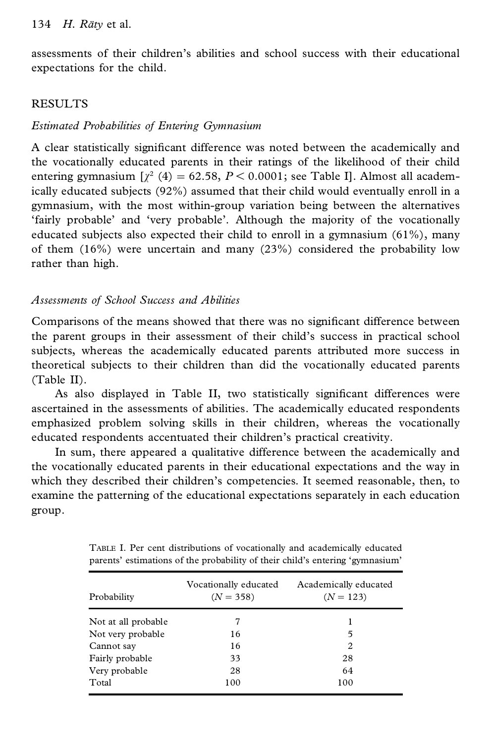assessments of their children's abilities and school success with their educational expectations for the child.

## RESULTS

## *Estimated Probabilities of Entering Gymnasium*

A clear statistically significant difference was noted between the academically and the vocationally educated parents in their ratings of the likelihood of their child entering gymnasium  $\left[\chi^2(4) = 62.58, P < 0.0001\right]$ ; see Table I]. Almost all academically educated subjects (92%) assumed that their child would eventually enroll in a gymnasium, with the most within-group variation being between the alternatives 'fairly probable' and 'very probable'. Although the majority of the vocationally educated subjects also expected their child to enroll in a gymnasium (61%), many of them (16%) were uncertain and many (23%) considered the probability low rather than high.

## *Assessments of School Success and Abilities*

Comparisons of the means showed that there was no significant difference between the parent groups in their assessment of their child's success in practical school subjects, whereas the academically educated parents attributed more success in theoretical subjects to their children than did the vocationally educated parents (Table II).

As also displayed in Table II, two statistically significant differences were ascertained in the assessments of abilities. The academically educated respondents emphasized problem solving skills in their children, whereas the vocationally educated respondents accentuated their children's practical creativity.

In sum, there appeared a qualitative difference between the academically and the vocationally educated parents in their educational expectations and the way in which they described their children's competencies. It seemed reasonable, then, to examine the patterning of the educational expectations separately in each education group.

| Probability         | Vocationally educated<br>$(N = 358)$ | Academically educated<br>$(N = 123)$ |
|---------------------|--------------------------------------|--------------------------------------|
| Not at all probable | 7                                    |                                      |
| Not very probable   | 16                                   | 5                                    |
| Cannot say          | 16                                   | 2                                    |
| Fairly probable     | 33                                   | 28                                   |
| Very probable       | 28                                   | 64                                   |
| Total               | 100                                  | 100                                  |

TABLE I. Per cent distributions of vocationally and academically educated parents' estimations of the probability of their child's entering 'gymnasium'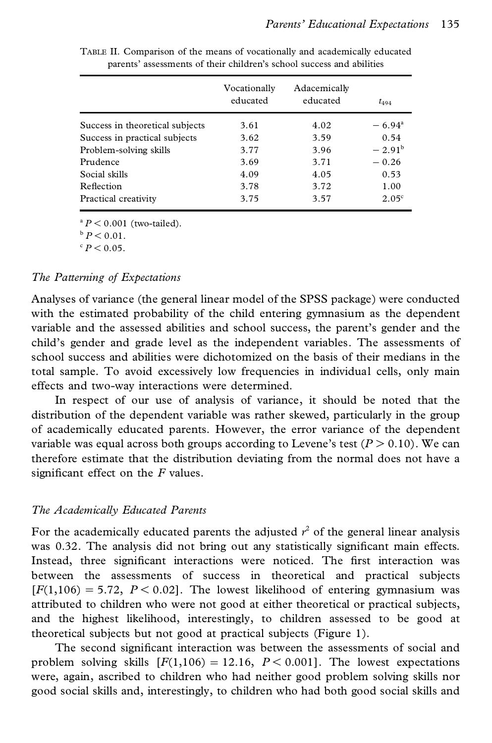|                                 | Vocationally<br>educated | Adacemically<br>educated | $t_{494}$       |
|---------------------------------|--------------------------|--------------------------|-----------------|
| Success in theoretical subjects | 3.61                     | 4.02                     | $-6.94^{\circ}$ |
| Success in practical subjects   | 3.62                     | 3.59                     | 0.54            |
| Problem-solving skills          | 3.77                     | 3.96                     | $-2.91^{\rm b}$ |
| Prudence                        | 3.69                     | 3.71                     | $-0.26$         |
| Social skills                   | 4.09                     | 4.05                     | 0.53            |
| Reflection                      | 3.78                     | 3.72                     | 1.00            |
| Practical creativity            | 3.75                     | 3.57                     | $2.05^{\circ}$  |

TABLE II. Comparison of the means of vocationally and academically educated parents' assessments of their children's school success and abilities

 $A^a P < 0.001$  (two-tailed).

 $b$   $P < 0.01$ .

 $P < 0.05$ .

## *The Patterning of Expectations*

Analyses of variance (the general linear model of the SPSS package) were conducted with the estimated probability of the child entering gymnasium as the dependent variable and the assessed abilities and school success, the parent's gender and the child's gender and grade level as the independent variables. The assessments of school success and abilities were dichotomized on the basis of their medians in the total sample. To avoid excessively low frequencies in individual cells, only main effects and two-way interactions were determined.

In respect of our use of analysis of variance, it should be noted that the distribution of the dependent variable was rather skewed, particularly in the group of academically educated parents. However, the error variance of the dependent variable was equal across both groups according to Levene's test  $(P > 0.10)$ . We can therefore estimate that the distribution deviating from the normal does not have a significant effect on the  $F$  values.

#### *The Academically Educated Parents*

For the academically educated parents the adjusted  $r^2$  of the general linear analysis was 0.32. The analysis did not bring out any statistically significant main effects. Instead, three significant interactions were noticed. The first interaction was between the assessments of success in theoretical and practical subjects  $[F(1,106) = 5.72, P < 0.02]$ . The lowest likelihood of entering gymnasium was attributed to children who were not good at either theoretical or practical subjects, and the highest likelihood, interestingly, to children assessed to be good at theoretical subjects but not good at practical subjects (Figure 1).

The second significant interaction was between the assessments of social and problem solving skills  $[F(1,106) = 12.16, P < 0.001]$ . The lowest expectations were, again, ascribed to children who had neither good problem solving skills nor good social skills and, interestingly, to children who had both good social skills and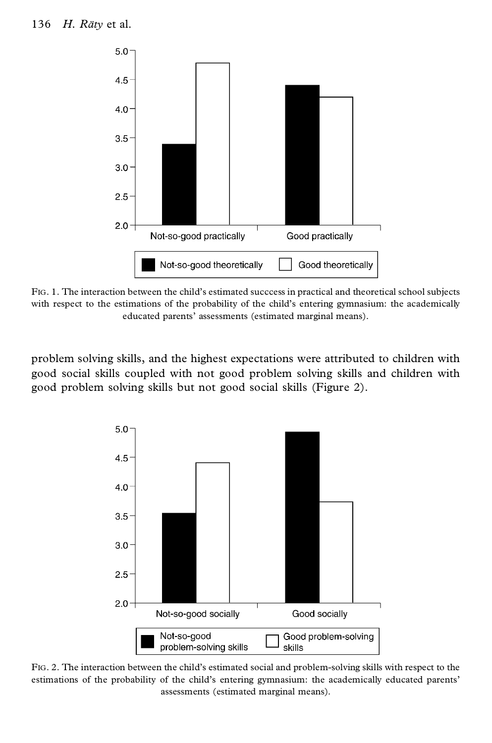

FIG. 1. The interaction between the child's estimated succcess in practical and theoretical school subjects with respect to the estimations of the probability of the child's entering gymnasium: the academically educated parents' assessments (estimated marginal means).

problem solving skills, and the highest expectations were attributed to children with good social skills coupled with not good problem solving skills and children with good problem solving skills but not good social skills (Figure 2).



FIG. 2. The interaction between the child's estimated social and problem-solving skills with respect to the estimations of the probability of the child's entering gymnasium: the academically educated parents' assessments (estimated marginal means).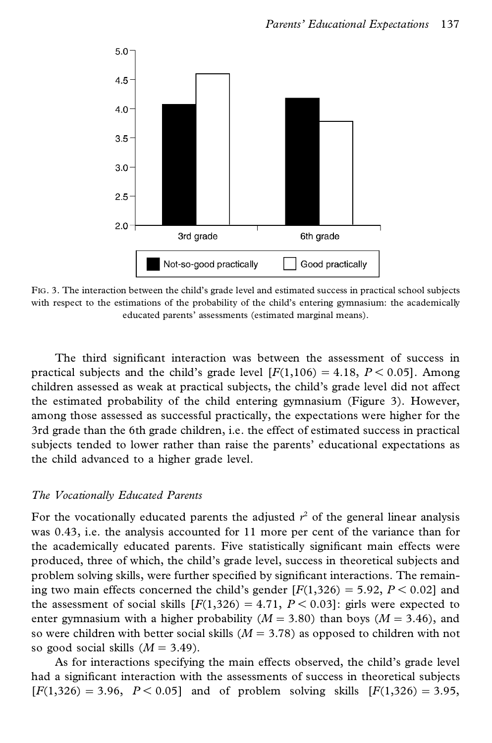

FIG. 3. The interaction between the child's grade level and estimated success in practical school subjects with respect to the estimations of the probability of the child's entering gymnasium: the academically educated parents' assessments (estimated marginal means).

The third significant interaction was between the assessment of success in practical subjects and the child's grade level  $[F(1,106) = 4.18, P < 0.05]$ . Among children assessed as weak at practical subjects, the child's grade level did not affect the estimated probability of the child entering gymnasium (Figure 3). However, among those assessed as successful practically, the expectations were higher for the 3rd grade than the 6th grade children, i.e. the effect of estimated success in practical subjects tended to lower rather than raise the parents' educational expectations as the child advanced to a higher grade level.

#### *The Vocationally Educated Parents*

For the vocationally educated parents the adjusted  $r^2$  of the general linear analysis was 0.43, i.e. the analysis accounted for 11 more per cent of the variance than for the academically educated parents. Five statistically significant main effects were produced, three of which, the child's grade level, success in theoretical subjects and problem solving skills, were further specified by significant interactions. The remaining two main effects concerned the child's gender  $[F(1,326) = 5.92, P < 0.02]$  and the assessment of social skills  $[F(1,326) = 4.71, P < 0.03]$ : girls were expected to enter gymnasium with a higher probability ( $M = 3.80$ ) than boys ( $M = 3.46$ ), and so were children with better social skills  $(M = 3.78)$  as opposed to children with not so good social skills  $(M = 3.49)$ .

As for interactions specifying the main effects observed, the child's grade level had a significant interaction with the assessments of success in theoretical subjects  $[F(1,326) = 3.96, P < 0.05]$  and of problem solving skills  $[F(1,326) = 3.95,$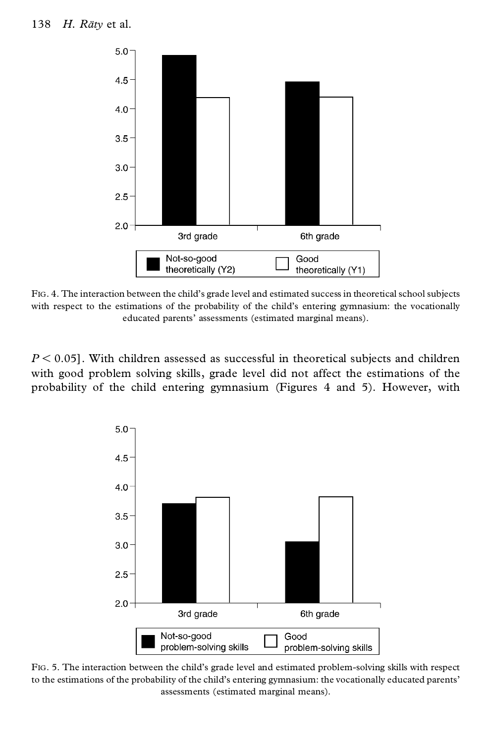

FIG. 4. The interaction between the child's grade level and estimated success in theoretical school subjects with respect to the estimations of the probability of the child's entering gymnasium: the vocationally educated parents' assessments (estimated marginal means).

 $P \le 0.05$ . With children assessed as successful in theoretical subjects and children with good problem solving skills, grade level did not affect the estimations of the probability of the child entering gymnasium (Figures 4 and 5). However, with



FIG. 5. The interaction between the child's grade level and estimated problem-solving skills with respect to the estimations of the probability of the child's entering gymnasium: the vocationally educated parents' assessments (estimated marginal means).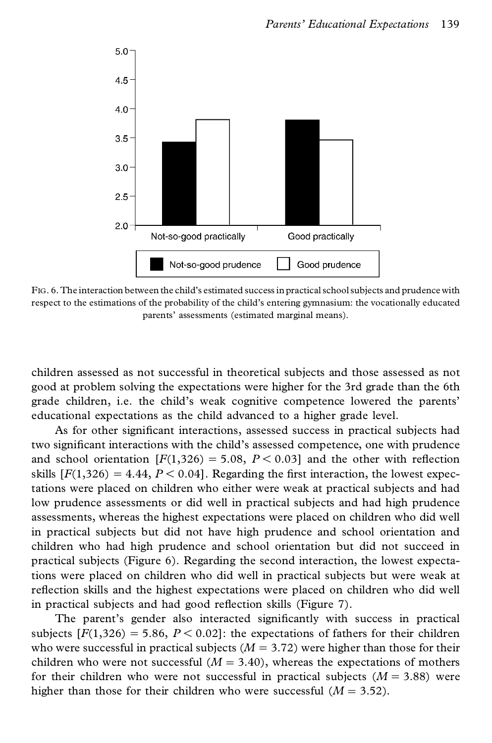

 $5.0<sup>°</sup>$ 

FIG. 6. The interaction between the child's estimated successin practicalschoolsubjects and prudence with respect to the estimations of the probability of the child's entering gymnasium: the vocationally educated parents' assessments (estimated marginal means).

children assessed as not successful in theoretical subjects and those assessed as not good at problem solving the expectations were higher for the 3rd grade than the 6th grade children, i.e. the child's weak cognitive competence lowered the parents' educational expectations as the child advanced to a higher grade level.

As for other significant interactions, assessed success in practical subjects had two significant interactions with the child's assessed competence, one with prudence and school orientation  $[F(1,326) = 5.08, P < 0.03]$  and the other with reflection skills  $[F(1,326) = 4.44, P < 0.04]$ . Regarding the first interaction, the lowest expectations were placed on children who either were weak at practical subjects and had low prudence assessments or did well in practical subjects and had high prudence assessments, whereas the highest expectations were placed on children who did well in practical subjects but did not have high prudence and school orientation and children who had high prudence and school orientation but did not succeed in practical subjects (Figure 6). Regarding the second interaction, the lowest expectations were placed on children who did well in practical subjects but were weak at reflection skills and the highest expectations were placed on children who did well in practical subjects and had good reflection skills (Figure 7).

The parent's gender also interacted significantly with success in practical subjects  $[F(1,326) = 5.86, P < 0.02]$ : the expectations of fathers for their children who were successful in practical subjects  $(M = 3.72)$  were higher than those for their children who were not successful  $(M = 3.40)$ , whereas the expectations of mothers for their children who were not successful in practical subjects  $(M = 3.88)$  were higher than those for their children who were successful  $(M = 3.52)$ .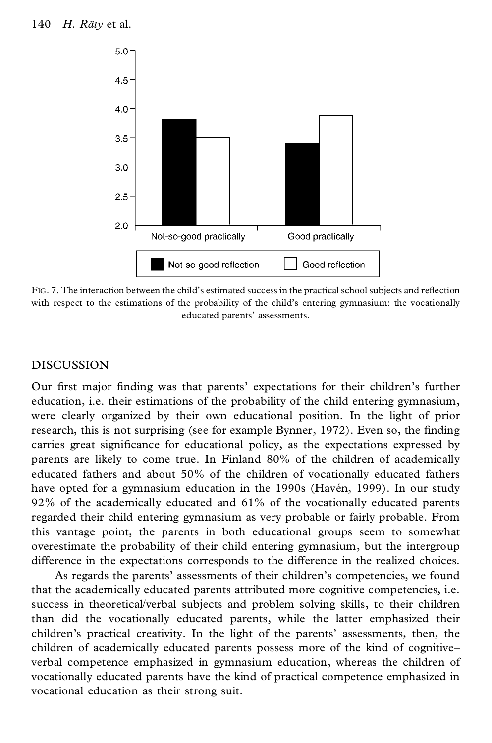

FIG. 7. The interaction between the child's estimated success in the practical school subjects and reflection with respect to the estimations of the probability of the child's entering gymnasium: the vocationally educated parents' assessments.

## DISCUSSION

Our first major finding was that parents' expectations for their children's further education, i.e. their estimations of the probability of the child entering gymnasium, were clearly organized by their own educational position. In the light of prior research, this is not surprising (see for example Bynner, 1972). Even so, the finding carries great significance for educational policy, as the expectations expressed by parents are likely to come true. In Finland 80% of the children of academically educated fathers and about 50% of the children of vocationally educated fathers have opted for a gymnasium education in the 1990s (Havén, 1999). In our study 92% of the academically educated and 61% of the vocationally educated parents regarded their child entering gymnasium as very probable or fairly probable. From this vantage point, the parents in both educational groups seem to somewhat overestimate the probability of their child entering gymnasium, but the intergroup difference in the expectations corresponds to the difference in the realized choices.

As regards the parents' assessments of their children's competencies, we found that the academically educated parents attributed more cognitive competencies, i.e. success in theoretical/verbal subjects and problem solving skills, to their children than did the vocationally educated parents, while the latter emphasized their children's practical creativity. In the light of the parents' assessments, then, the children of academically educated parents possess more of the kind of cognitive– verbal competence emphasized in gymnasium education, whereas the children of vocationally educated parents have the kind of practical competence emphasized in vocational education as their strong suit.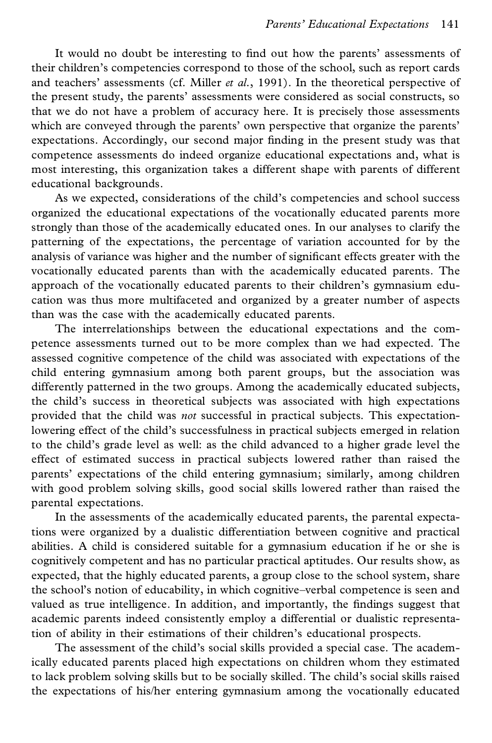It would no doubt be interesting to find out how the parents' assessments of their children's competencies correspond to those of the school, such as report cards and teachers' assessments (cf. Miller *et al.*, 1991). In the theoretical perspective of the present study, the parents' assessments were considered as social constructs, so that we do not have a problem of accuracy here. It is precisely those assessments which are conveyed through the parents' own perspective that organize the parents' expectations. Accordingly, our second major finding in the present study was that competence assessments do indeed organize educational expectations and, what is most interesting, this organization takes a different shape with parents of different educational backgrounds.

As we expected, considerations of the child's competencies and school success organized the educational expectations of the vocationally educated parents more strongly than those of the academically educated ones. In our analyses to clarify the patterning of the expectations, the percentage of variation accounted for by the analysis of variance was higher and the number of significant effects greater with the vocationally educated parents than with the academically educated parents. The approach of the vocationally educated parents to their children's gymnasium edu cation was thus more multifaceted and organized by a greater number of aspects than was the case with the academically educated parents.

The interrelationships between the educational expectations and the com petence assessments turned out to be more complex than we had expected. The assessed cognitive competence of the child was associated with expectations of the child entering gymnasium among both parent groups, but the association was differently patterned in the two groups. Among the academically educated subjects, the child's success in theoretical subjects was associated with high expectations provided that the child was *not* successful in practical subjects. This expectationlowering effect of the child's successfulness in practical subjects emerged in relation to the child's grade level as well: as the child advanced to a higher grade level the effect of estimated success in practical subjects lowered rather than raised the parents' expectations of the child entering gymnasium; similarly, among children with good problem solving skills, good social skills lowered rather than raised the parental expectations.

In the assessments of the academically educated parents, the parental expectations were organized by a dualistic differentiation between cognitive and practical abilities. A child is considered suitable for a gymnasium education if he or she is cognitively competent and has no particular practical aptitudes. Our results show, as expected, that the highly educated parents, a group close to the school system, share the school's notion of educability, in which cognitive–verbal competence is seen and valued as true intelligence. In addition, and importantly, the findings suggest that academic parents indeed consistently employ a differential or dualistic representation of ability in their estimations of their children's educational prospects.

The assessment of the child's social skills provided a special case. The academically educated parents placed high expectations on children whom they estimated to lack problem solving skills but to be socially skilled. The child's social skills raised the expectations of his/her entering gymnasium among the vocationally educated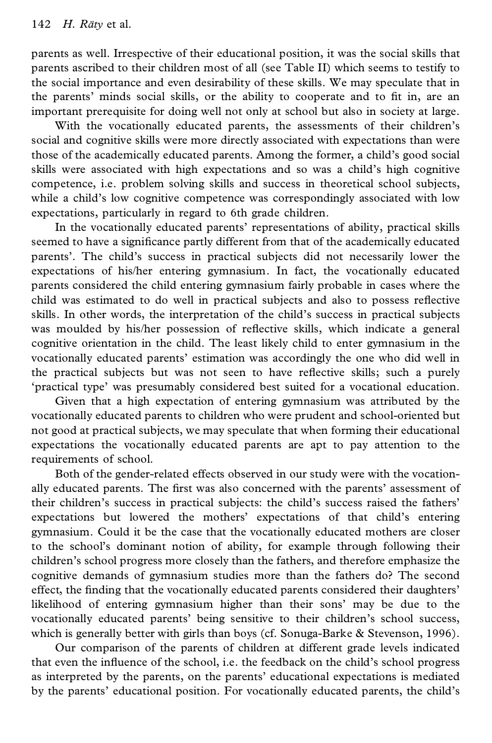parents as well. Irrespective of their educational position, it was the social skills that parents ascribed to their children most of all (see Table II) which seems to testify to the social importance and even desirability of these skills. We may speculate that in the parents' minds social skills, or the ability to cooperate and to fit in, are an important prerequisite for doing well not only at school but also in society at large.

With the vocationally educated parents, the assessments of their children's social and cognitive skills were more directly associated with expectations than were those of the academically educated parents. Among the former, a child's good social skills were associated with high expectations and so was a child's high cognitive competence, i.e. problem solving skills and success in theoretical school subjects, while a child's low cognitive competence was correspondingly associated with low expectations, particularly in regard to 6th grade children.

In the vocationally educated parents' representations of ability, practical skills seemed to have a significance partly different from that of the academically educated parents'. The child's success in practical subjects did not necessarily lower the expectations of his/her entering gymnasium. In fact, the vocationally educated parents considered the child entering gymnasium fairly probable in cases where the child was estimated to do well in practical subjects and also to possess reflective skills. In other words, the interpretation of the child's success in practical subjects was moulded by his/her possession of reflective skills, which indicate a general cognitive orientation in the child. The least likely child to enter gymnasium in the vocationally educated parents' estimation was accordingly the one who did well in the practical subjects but was not seen to have reflective skills; such a purely 'practical type' was presumably considered best suited for a vocational education.

Given that a high expectation of entering gymnasium was attributed by the vocationally educated parents to children who were prudent and school-oriented but not good at practical subjects, we may speculate that when forming their educational expectations the vocationally educated parents are apt to pay attention to the requirements of school.

Both of the gender-related effects observed in our study were with the vocation ally educated parents. The first was also concerned with the parents' assessment of their children's success in practical subjects: the child's success raised the fathers' expectations but lowered the mothers' expectations of that child's entering gymnasium. Could it be the case that the vocationally educated mothers are closer to the school's dominant notion of ability, for example through following their children's school progress more closely than the fathers, and therefore emphasize the cognitive demands of gymnasium studies more than the fathers do? The second effect, the finding that the vocationally educated parents considered their daughters' likelihood of entering gymnasium higher than their sons' may be due to the vocationally educated parents' being sensitive to their children's school success, which is generally better with girls than boys (cf. Sonuga-Barke & Stevenson, 1996).

Our comparison of the parents of children at different grade levels indicated that even the influence of the school, i.e. the feedback on the child's school progress as interpreted by the parents, on the parents' educational expectations is mediated by the parents' educational position. For vocationally educated parents, the child's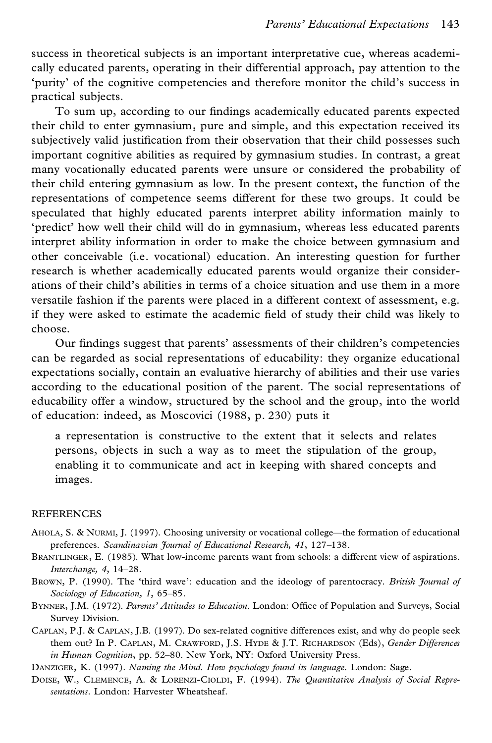success in theoretical subjects is an important interpretative cue, whereas academi cally educated parents, operating in their differential approach, pay attention to the 'purity' of the cognitive competencies and therefore monitor the child's success in practical subjects.

To sum up, according to our findings academically educated parents expected their child to enter gymnasium, pure and simple, and this expectation received its subjectively valid justification from their observation that their child possesses such important cognitive abilities as required by gymnasium studies. In contrast, a great many vocationally educated parents were unsure or considered the probability of their child entering gymnasium as low. In the present context, the function of the representations of competence seems different for these two groups. It could be speculated that highly educated parents interpret ability information mainly to 'predict' how well their child will do in gymnasium, whereas less educated parents interpret ability information in order to make the choice between gymnasium and other conceivable (i.e. vocational) education. An interesting question for further research is whether academically educated parents would organize their consider ations of their child's abilities in terms of a choice situation and use them in a more versatile fashion if the parents were placed in a different context of assessment, e.g. if they were asked to estimate the academic field of study their child was likely to choose.

Our findings suggest that parents' assessments of their children's competencies can be regarded as social representations of educability: they organize educational expectations socially, contain an evaluative hierarchy of abilities and their use varies according to the educational position of the parent. The social representations of educability offer a window, structured by the school and the group, into the world of education: indeed, as Moscovici (1988, p. 230) puts it

a representation is constructive to the extent that it selects and relates persons, objects in such a way as to meet the stipulation of the group, enabling it to communicate and act in keeping with shared concepts and images.

#### REFERENCES

- AHOLA, S. & NURMI, J. (1997). Choosing university or vocational college—the formation of educational preferences. *Scandinavian Journal of Educational Research, 41*, 127–138.
- BRANTLINGER, E. (1985). What low-income parents want from schools: a different view of aspirations. *Interchange, 4*, 14–28.
- BROWN, P. (1990). The 'third wave': education and the ideology of parentocracy. *British Journal of Sociology of Education, 1*, 65–85.
- BYNNER, J.M. (1972). *Parents' Attitudes to Education*. London: Office of Population and Surveys, Social Survey Division.
- CAPLAN, P.J. & CAPLAN, J.B. (1997). Do sex-related cognitive differences exist, and why do people seek them out? In P. CAPLAN, M. CRAWFORD, J.S. HYDE & J.T. RICHARDSON (Eds), *Gender Differences in Human Cognition*, pp. 52–80. New York, NY: Oxford University Press.

DANZIGER, K. (1997). *Naming the Mind. How psychology found its language*. London: Sage.

DOISE, W., CLEMENCE, A. & LORENZI-CIOLDI, F. (1994). *The Quantitative Analysis of Social Representations*. London: Harvester Wheatsheaf.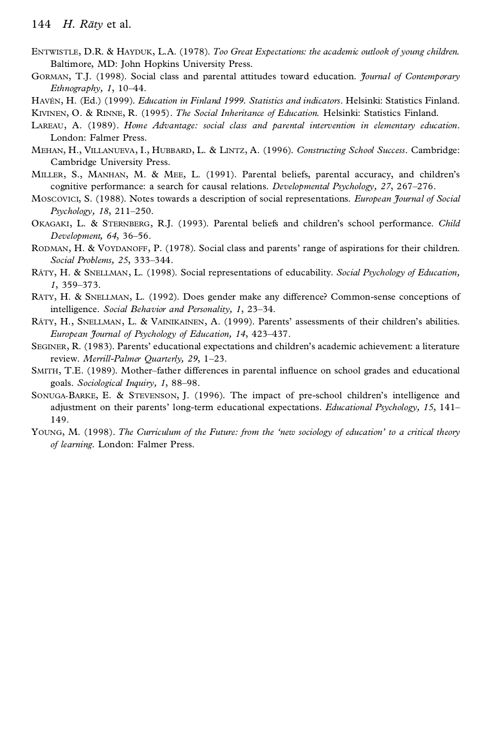- ENTWISTLE, D.R. & HAYDUK, L.A. (1978). *Too Great Expectations: the academic outlook of young children.* Baltimore, MD: John Hopkins University Press.
- GORMAN, T.J. (1998). Social class and parental attitudes toward education. *Journal of Contemporary Ethnography, 1*, 10–44.
- HAVE´ N, H. (Ed.) (1999). *Education in Finland 1999. Statistics and indicators*. Helsinki: Statistics Finland.

KIVINEN, O. & RINNE, R. (1995). *The Social Inheritance of Education.* Helsinki: Statistics Finland.

- LAREAU, A. (1989). *Home Advantage: social class and parental intervention in elementary education*. London: Falmer Press.
- MEHAN, H., VILLANUEVA, I., HUBBARD, L. & LINTZ, A. (1996)*. Constructing School Success*. Cambridge: Cambridge University Press.
- MILLER, S., MANHAN, M. & MEE, L. (1991). Parental beliefs, parental accuracy, and children's cognitive performance: a search for causal relations. *Developmental Psychology, 27*, 267–276.
- MOSCOVICI, S. (1988). Notes towards a description of social representations*. European Journal of Social Psychology, 18*, 211–250.
- OKAGAKI, L. & STERNBERG, R.J. (1993). Parental beliefs and children's school performance. *Child Development, 64*, 36–56.
- RODMAN, H. & VOYDANOFF, P. (1978). Social class and parents' range of aspirations for their children. *Social Problems, 25*, 333–344.
- RA¨ TY, H. & SNELLMAN, L. (1998). Social representations of educability. *Social Psychology of Education, 1*, 359–373.
- RATY, H. & SNELLMAN, L. (1992). Does gender make any difference? Common-sense conceptions of intelligence. *Social Behavior and Personality, 1*, 23–34.
- RÄTY, H., SNELLMAN, L. & VAINIKAINEN, A. (1999). Parents' assessments of their children's abilities. *European Journal of Psychology of Education, 14*, 423–437.
- SEGINER, R. (1983). Parents' educational expectations and children's academic achievement: a literature review. *Merrill-Palmer Quarterly, 29*, 1–23.
- SMITH, T.E. (1989). Mother–father differences in parental influence on school grades and educational goals. *Sociological Inquiry, 1*, 88–98.
- SONUGA-BARKE, E. & STEVENSON, J. (1996). The impact of pre-school children's intelligence and adjustment on their parents' long-term educational expectations. *Educational Psychology, 15*, 141– 149.
- YOUNG, M. (1998). *The Curriculum of the Future: from the 'new sociology of education' to a critical theory of learning*. London: Falmer Press.